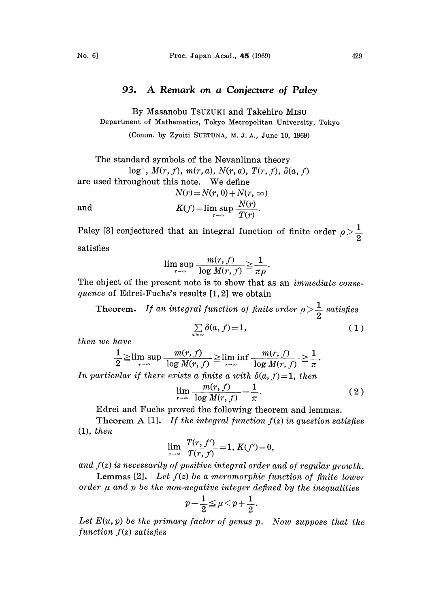## 93. A Remark on <sup>a</sup> Conjecture of Paley

By Masanobu TSUZUKt and Takehiro MISU Department of Mathematics, Tokyo Metropolitan University, Tokyo

(Comm. by Zyoiti SUETUNA, M. J. A., June. 10, 1969)

The standard symbols of the Nevanlinna theory  $log^+$ ,  $M(r, f)$ ,  $m(r, a)$ ,  $N(r, a)$ ,  $T(r, f)$ ,  $\delta(a, f)$ are used throughout this note. We define  $N(r) = N(r, 0) + N(r, \infty)$ and  $K(f) = \limsup_{r \to \infty} \frac{N(r)}{T(r)}$ 

Paley [3] conjectured that an integral function of finite order  $\rho > \frac{1}{2}$ satisfies

$$
\limsup_{r \to \infty} \frac{m(r, f)}{\log M(r, f)} \ge \frac{1}{\pi \rho}.
$$

The object of the present note is to show that as an *immediate conse*quence of Edrei-Fuchs's results [1, 2] we obtain

Theorem. If an integral function of finite order  $\rho > \frac{1}{2}$  satisfies

$$
\sum_{\alpha \in \mathcal{S}} \delta(a, f) = 1,\tag{1}
$$

then we have

$$
\frac{1}{2} \geq \limsup_{r \to \infty} \frac{m(r, f)}{\log M(r, f)} \geq \liminf_{r \to \infty} \frac{m(r, f)}{\log M(r, f)} \geq \frac{1}{\pi}.
$$
  
In particular if there exists a finite a with  $\delta(a, f) = 1$ , then

 $\overrightarrow{a}$ 

$$
\lim_{r \to \infty} \frac{m(r, f)}{\log M(r, f)} = \frac{1}{\pi}.
$$
 (2)

Edrei and Fuchs proved the following theorem and lemmas.

Theorem A [1]. If the integral function  $f(z)$  in question satisfies (1), then

$$
\lim_{r \to \infty} \frac{T(r, f')}{T(r, f)} = 1, K(f') = 0,
$$

and  $f(z)$  is necessarily of positive integral order and of regular growth.

**Lemmas [2].** Let  $f(z)$  be a meromorphic function of finite lower order  $\mu$  and  $p$  be the non-negative integer defined by the inequalities

$$
p-\frac{1}{2}\leqq \mu < p+\frac{1}{2}
$$

Let  $E(u, p)$  be the primary factor of genus  $p$ . Now suppose that the function  $f(z)$  satisfies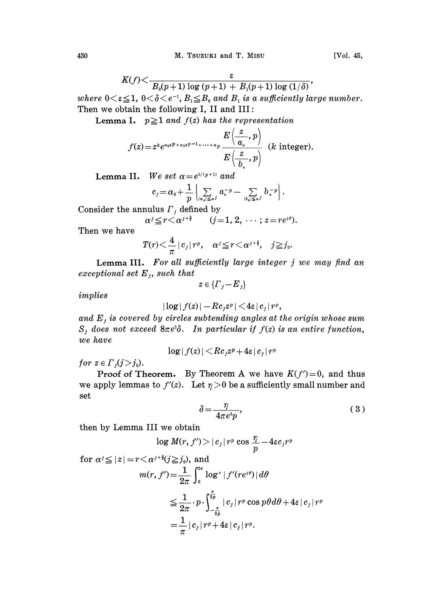$$
K(f)\!<\!\frac{\varepsilon}{B_{\scriptscriptstyle 0}(p\!+\!1)\log{(p\!+\!1)}+B_{\scriptscriptstyle 1}(p\!+\!1)\log{(1/\delta)}},
$$

where  $0<\varepsilon \leq 1$ ,  $0<\delta < e^{-1}$ ,  $B_1 \leq B_0$  and  $B_1$  is a sufficiently large number. Then we obtain the following I, II and III:

**Lemma I.**  $p \ge 1$  and  $f(z)$  has the representation

$$
f(z) = z^k e^{\alpha_0 z p + \alpha_1 z p - 1 + \dots + \alpha_p} \frac{E\left(\frac{z}{a_\nu}, p\right)}{E\left(\frac{z}{b_\nu}, p\right)}
$$
 (*k* integer).

Lemma II. We set  $\alpha = e^{1/(p+1)}$  and

$$
\left\{ \begin{aligned} &c_j \!=\! \alpha_0 \!+\! \frac{1}{p} \left\{ \! \sum\limits_{\left|a_\nu\right| \leq a j} a_\nu^{-p} \!-\! \sum\limits_{\left|b_\nu\right| \leq a j} b_\nu^{-p} \right\} \!.\! \end{aligned} \right.
$$
   
 nullus  $\varGamma_j$  defined by 
$$
\alpha^j \!\leq\! r \!<\! \alpha^{j+\frac{3}{2}} \qquad (j \!=\! 1,2,\, \cdots ; z\!=\! re^{i\theta}).
$$

Consider the annulus  $\Gamma_j$  defined

$$
\alpha^j \leq r < \alpha^{j+\frac{3}{2}} \qquad (j=1, 2, \cdots; z = re^{i\theta}).
$$

Then we have

$$
T(r)<\frac{4}{\pi}\,|\,c_{\scriptscriptstyle f}\,|\,r^{\scriptscriptstyle p},\quad \alpha^{\scriptscriptstyle j}\!\leq\! r<\alpha^{\scriptscriptstyle j+\frac{3}{2}},\quad j\!\geq\!j_{\scriptscriptstyle 0}.
$$

Lemma III. For all sufficiently large integer  $j$  we may find an exceptional set  $E_j$ , such that

 $z\in\{F,-E_i\}$ 

implies

$$
|\log|f(z)|-Rc_jz^p|<4\varepsilon\|c_j\|r^p,
$$

and  $E_j$  is covered by circles subtending angles at the origin whose sum  $S_i$  does not exceed  $8\pi e^3\delta$ . In particular if  $f(z)$  is an entire function, we have

$$
\log |f(z)| \!<\! R c_j z^p \!+\! 4\varepsilon \!\mid\! c_j\!\mid\! r^p
$$

for  $z \in \Gamma_i (j > j_0)$ .

**Proof of Theorem.** By Theorem A we have  $K(f')=0$ , and thus we apply lemmas to  $f'(z)$ . Let  $\eta > 0$  be a sufficiently small number and set set

$$
\delta = \frac{\eta}{4\pi e^3 p},\tag{3}
$$

then by Lemma III we obtain

$$
\log M(r, f') > |c_j| r^p \cos \frac{\eta}{p} - 4\epsilon c_j r^p
$$

for  $\alpha^{j} \leq |z| = r \leq \alpha^{j+\frac{3}{2}}(j \geq j_0)$ , and  $m(r, f') = \frac{1}{2\pi} \int_0^{\infty} \log^+ |f'(re^{i\theta})| d\theta$  $\leq \frac{1}{2\pi} \cdot p \cdot \int_{-\frac{\pi}{2p}}^{2p} |c_j|\, r^p \cos p\theta d\theta + 4\varepsilon\, |c_j|\, r^p$  $\frac{1}{\epsilon} \left| \left. c_j \right| r^p + 4 \varepsilon \left| \left. c_j \right| r^p. \right. \right.$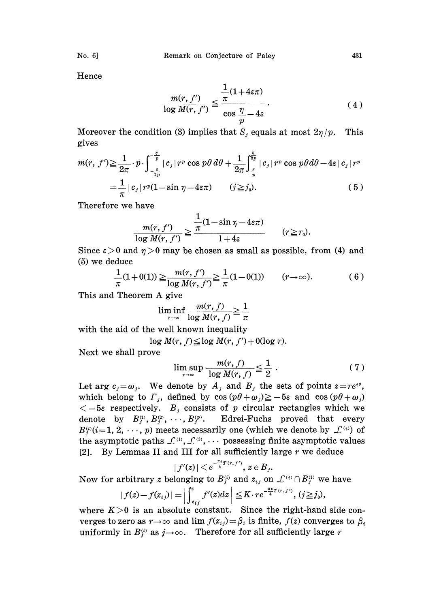No. 6] Remark on Conjecture of Paley 431

Hence

$$
\frac{m(r, f')}{\log M(r, f')} \leq \frac{\frac{1}{\pi} (1 + 4\varepsilon \pi)}{\cos \frac{\eta}{p} - 4\varepsilon}.
$$
\n(4)

 $\frac{\eta}{p}$  - 4s<br> $S_j$  equ Moreover the condition (3) implies that  $S_j$  equals at most  $2\eta/p$ . gives This

$$
m(r, f') \geq \frac{1}{2\pi} \cdot p \cdot \int_{-\frac{\pi}{2p}}^{-\frac{\pi}{p}} |c_j| r^p \cos p\theta d\theta + \frac{1}{2\pi} \int_{\frac{\pi}{p}}^{\frac{\pi}{2p}} |c_j| r^p \cos p\theta d\theta - 4\varepsilon |c_j| r^p
$$
  
=  $\frac{1}{\pi} |c_j| r^p (1 - \sin \eta - 4\varepsilon \pi)$   $(j \geq j_0).$  (5)  
Therefore we have

Therefore we have

$$
\frac{m(r, f')}{\log M(r, f')} \geq \frac{\frac{1}{\pi} (1 - \sin \eta - 4\epsilon \pi)}{1 + 4\epsilon} \qquad (r \geq r_0).
$$

Since  $\varepsilon > 0$  and  $\eta > 0$  may be chosen as small as possible, from (4) and (5) we deduce

$$
\frac{1}{\pi}(1+0(1)) \ge \frac{m(r, f')}{\log M(r, f')} \ge \frac{1}{\pi}(1-0(1)) \qquad (r \to \infty).
$$
 (6)

This and Theorem A give

$$
\liminf_{r \to \infty} \frac{m(r, f)}{\log M(r, f)} \ge \frac{1}{\pi}
$$

with the aid of the well known inequality

 $\log M(r, f) \leq \log M(r, f') + 0(\log r).$ 

Next we shall prove

$$
\limsup_{r \to \infty} \frac{m(r, f)}{\log M(r, f)} \leq \frac{1}{2} . \tag{7}
$$

Let arg  $c_j = \omega_j$ . We denote by  $A_j$  and  $B_j$  the sets of points  $z = re^{i\theta}$ , which belong to  $\Gamma_j$ , defined by  $\cos(p\theta+\omega_j)\geq-5\varepsilon$  and  $\cos(p\theta+\omega_j)$  $<-5\varepsilon$  respectively.  $B_t$  consists of p circular rectangles which we denote by  $B_j^{(1)}, B_j^{(2)}, \cdots, B_j^{(p)}$ . Edrei-Fuchs proved that every  $B_i^{(i)}$  (i=1, 2, ..., p) meets necessarily one (which we denote by  $\mathcal{L}^{(i)}$ ) of the asymptotic paths  $\mathcal{L}^{(1)}$ ,  $\mathcal{L}^{(3)}$ ,  $\cdots$  possessing finite asymptotic values [2]. By Lemmas II and III for all sufficiently large  $r$  we deduce

$$
|f'(z)|<\displaystyle e^{-\frac{\pi\epsilon}{4}T(r,f')},\,z\in B_{j}.
$$

Now for arbitrary z belonging to  $B_j^{(i)}$  and  $z_{ij}$  on  $\mathcal{L}^{(i)} \cap B_j^{(i)}$  we have

$$
|f(z)-f(z_{ij})|=\bigg|\int_{z_{ij}}^z f'(z)dz\bigg|\leq K\cdot re^{-\frac{\pi\epsilon}{4}T(r,f')},\ (j\geq j_0),
$$

where  $K>0$  is an absolute constant. Since the right-hand side converges to zero as  $r \to \infty$  and lim  $f(z_{ij}) = \beta_i$  is finite,  $f(z)$  converges to  $\beta_i$ uniformly in  $B_i^{(i)}$  as  $j \rightarrow \infty$ . Therefore for all sufficiently large r